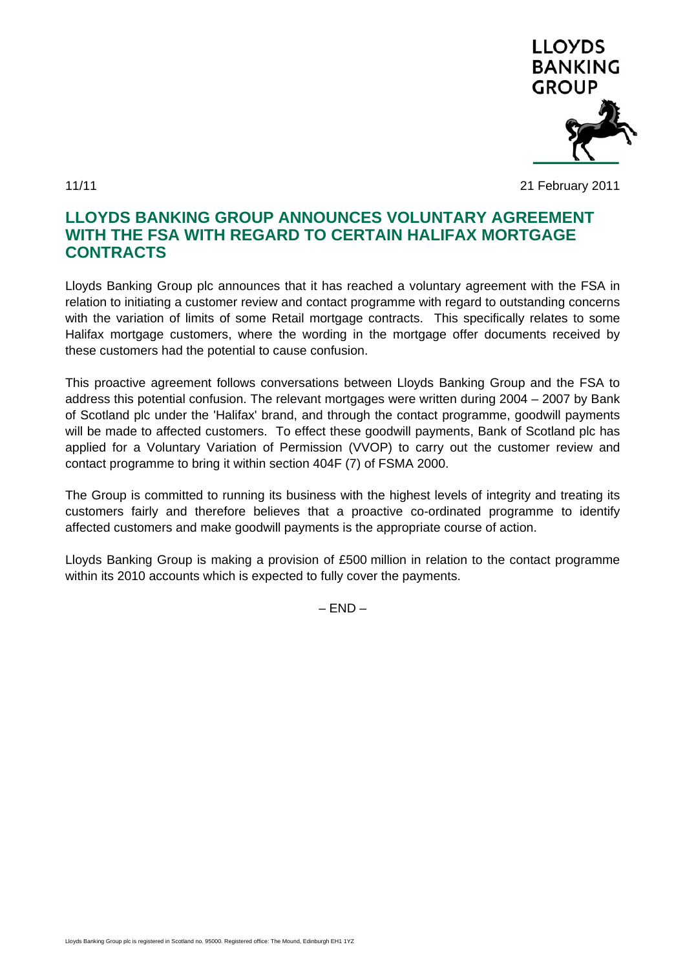

11/11 21 February 2011

## **LLOYDS BANKING GROUP ANNOUNCES VOLUNTARY AGREEMENT WITH THE FSA WITH REGARD TO CERTAIN HALIFAX MORTGAGE CONTRACTS**

Lloyds Banking Group plc announces that it has reached a voluntary agreement with the FSA in relation to initiating a customer review and contact programme with regard to outstanding concerns with the variation of limits of some Retail mortgage contracts. This specifically relates to some Halifax mortgage customers, where the wording in the mortgage offer documents received by these customers had the potential to cause confusion.

This proactive agreement follows conversations between Lloyds Banking Group and the FSA to address this potential confusion. The relevant mortgages were written during 2004 – 2007 by Bank of Scotland plc under the 'Halifax' brand, and through the contact programme, goodwill payments will be made to affected customers. To effect these goodwill payments, Bank of Scotland plc has applied for a Voluntary Variation of Permission (VVOP) to carry out the customer review and contact programme to bring it within section 404F (7) of FSMA 2000.

The Group is committed to running its business with the highest levels of integrity and treating its customers fairly and therefore believes that a proactive co-ordinated programme to identify affected customers and make goodwill payments is the appropriate course of action.

Lloyds Banking Group is making a provision of £500 million in relation to the contact programme within its 2010 accounts which is expected to fully cover the payments.

 $-$  END  $-$